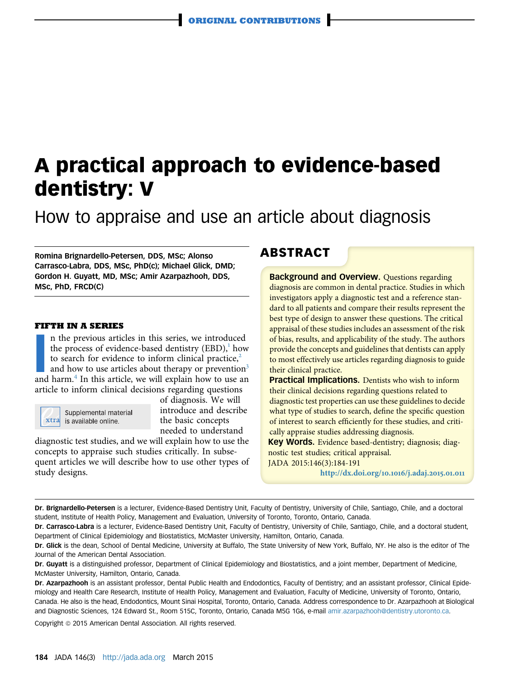# A practical approach to evidence-based dentistry: V

How to appraise and use an article about diagnosis

Romina Brignardello-Petersen, DDS, MSc; Alonso Carrasco-Labra, DDS, MSc, PhD(c); Michael Glick, DMD; Gordon H. Guyatt, MD, MSc; Amir Azarpazhooh, DDS, MSc, PhD, FRCD(C)

### FIFTH IN A SERIES

In the previous articles in this series, we introduced<br>the process of evidence-based dentistry (EBD),<sup>1</sup> how<br>to search for evidence to inform clinical practice,<sup>2</sup><br>and how to use articles about therapy or prevention<sup>3</sup><br>an n the previous articles in this series, we introduced the process of evidence-based dentistry  $(EBD)$ , how to search for evidence to inform clinical practice, $2$ and how to use articles about therapy or prevention $3$ article to inform clinical decisions regarding questions



Supplemental material xtra is available online.

of diagnosis. We will introduce and describe the basic concepts needed to understand

diagnostic test studies, and we will explain how to use the concepts to appraise such studies critically. In subsequent articles we will describe how to use other types of study designs.

# ABSTRACT

**Background and Overview.** Questions regarding diagnosis are common in dental practice. Studies in which investigators apply a diagnostic test and a reference standard to all patients and compare their results represent the best type of design to answer these questions. The critical appraisal of these studies includes an assessment of the risk of bias, results, and applicability of the study. The authors provide the concepts and guidelines that dentists can apply to most effectively use articles regarding diagnosis to guide their clinical practice.

**Practical Implications.** Dentists who wish to inform their clinical decisions regarding questions related to diagnostic test properties can use these guidelines to decide what type of studies to search, define the specific question of interest to search efficiently for these studies, and critically appraise studies addressing diagnosis.

Key Words. Evidence based-dentistry; diagnosis; diagnostic test studies; critical appraisal. JADA 2015:146(3):184-191

[http://dx.doi.org/](http://dx.doi.org/10.1016/j.adaj.2015.01.011)10.1016/j.adaj.2015.01.011

Dr. Brignardello-Petersen is a lecturer, Evidence-Based Dentistry Unit, Faculty of Dentistry, University of Chile, Santiago, Chile, and a doctoral student, Institute of Health Policy, Management and Evaluation, University of Toronto, Toronto, Ontario, Canada.

Dr. Carrasco-Labra is a lecturer, Evidence-Based Dentistry Unit, Faculty of Dentistry, University of Chile, Santiago, Chile, and a doctoral student, Department of Clinical Epidemiology and Biostatistics, McMaster University, Hamilton, Ontario, Canada.

Dr. Glick is the dean, School of Dental Medicine, University at Buffalo, The State University of New York, Buffalo, NY. He also is the editor of The Journal of the American Dental Association.

Dr. Guyatt is a distinguished professor, Department of Clinical Epidemiology and Biostatistics, and a joint member, Department of Medicine, McMaster University, Hamilton, Ontario, Canada.

Dr. Azarpazhooh is an assistant professor, Dental Public Health and Endodontics, Faculty of Dentistry; and an assistant professor, Clinical Epidemiology and Health Care Research, Institute of Health Policy, Management and Evaluation, Faculty of Medicine, University of Toronto, Ontario, Canada. He also is the head, Endodontics, Mount Sinai Hospital, Toronto, Ontario, Canada. Address correspondence to Dr. Azarpazhooh at Biological and Diagnostic Sciences, 124 Edward St., Room 515C, Toronto, Ontario, Canada M5G 1G6, e-mail [amir.azarpazhooh@dentistry.utoronto.ca](mailto:amir.azarpazhooh@dentistry.utoronto.ca).

Copyright @ 2015 American Dental Association. All rights reserved.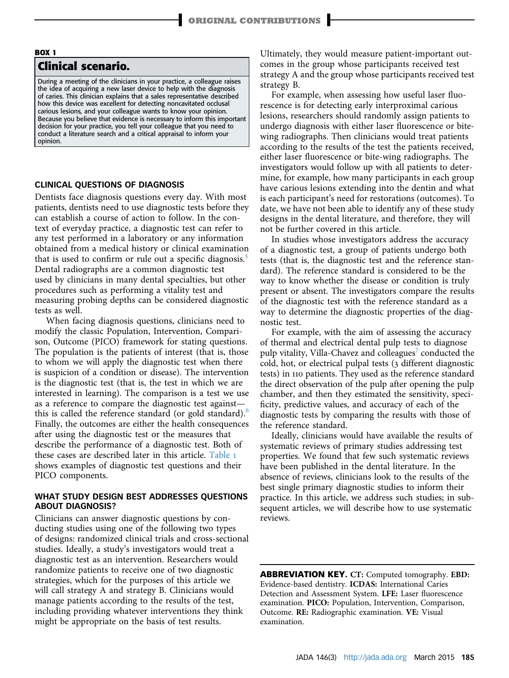## BOX 1 Clinical scenario.

During a meeting of the clinicians in your practice, a colleague raises the idea of acquiring a new laser device to help with the diagnosis of caries. This clinician explains that a sales representative described how this device was excellent for detecting noncavitated occlusal carious lesions, and your colleague wants to know your opinion. Because you believe that evidence is necessary to inform this important decision for your practice, you tell your colleague that you need to conduct a literature search and a critical appraisal to inform your opinion.

### CLINICAL QUESTIONS OF DIAGNOSIS

Dentists face diagnosis questions every day. With most patients, dentists need to use diagnostic tests before they can establish a course of action to follow. In the context of everyday practice, a diagnostic test can refer to any test performed in a laboratory or any information obtained from a medical history or clinical examination that is used to confirm or rule out a specific diagnosis.<sup>[5](#page-7-0)</sup> Dental radiographs are a common diagnostic test used by clinicians in many dental specialties, but other procedures such as performing a vitality test and measuring probing depths can be considered diagnostic tests as well.

When facing diagnosis questions, clinicians need to modify the classic Population, Intervention, Comparison, Outcome (PICO) framework for stating questions. The population is the patients of interest (that is, those to whom we will apply the diagnostic test when there is suspicion of a condition or disease). The intervention is the diagnostic test (that is, the test in which we are interested in learning). The comparison is a test we use as a reference to compare the diagnostic test against— this is called the reference standard (or gold standard).<sup>[6](#page-7-0)</sup> Finally, the outcomes are either the health consequences after using the diagnostic test or the measures that describe the performance of a diagnostic test. Both of these cases are described later in this article. [Table](#page-2-0) 1 shows examples of diagnostic test questions and their PICO components.

### WHAT STUDY DESIGN BEST ADDRESSES QUESTIONS ABOUT DIAGNOSIS?

Clinicians can answer diagnostic questions by conducting studies using one of the following two types of designs: randomized clinical trials and cross-sectional studies. Ideally, a study's investigators would treat a diagnostic test as an intervention. Researchers would randomize patients to receive one of two diagnostic strategies, which for the purposes of this article we will call strategy A and strategy B. Clinicians would manage patients according to the results of the test, including providing whatever interventions they think might be appropriate on the basis of test results.

Ultimately, they would measure patient-important outcomes in the group whose participants received test strategy A and the group whose participants received test strategy B.

For example, when assessing how useful laser fluorescence is for detecting early interproximal carious lesions, researchers should randomly assign patients to undergo diagnosis with either laser fluorescence or bitewing radiographs. Then clinicians would treat patients according to the results of the test the patients received, either laser fluorescence or bite-wing radiographs. The investigators would follow up with all patients to determine, for example, how many participants in each group have carious lesions extending into the dentin and what is each participant's need for restorations (outcomes). To date, we have not been able to identify any of these study designs in the dental literature, and therefore, they will not be further covered in this article.

In studies whose investigators address the accuracy of a diagnostic test, a group of patients undergo both tests (that is, the diagnostic test and the reference standard). The reference standard is considered to be the way to know whether the disease or condition is truly present or absent. The investigators compare the results of the diagnostic test with the reference standard as a way to determine the diagnostic properties of the diagnostic test.

For example, with the aim of assessing the accuracy of thermal and electrical dental pulp tests to diagnose pulp vitality, Villa-Chavez and colleagues $\bar{z}$  conducted the cold, hot, or electrical pulpal tests (3 different diagnostic tests) in 110 patients. They used as the reference standard the direct observation of the pulp after opening the pulp chamber, and then they estimated the sensitivity, specificity, predictive values, and accuracy of each of the diagnostic tests by comparing the results with those of the reference standard.

Ideally, clinicians would have available the results of systematic reviews of primary studies addressing test properties. We found that few such systematic reviews have been published in the dental literature. In the absence of reviews, clinicians look to the results of the best single primary diagnostic studies to inform their practice. In this article, we address such studies; in subsequent articles, we will describe how to use systematic reviews.

ABBREVIATION KEY. CT: Computed tomography. EBD: Evidence-based dentistry. ICDAS: International Caries Detection and Assessment System. LFE: Laser fluorescence examination. PICO: Population, Intervention, Comparison, Outcome. RE: Radiographic examination. VE: Visual examination.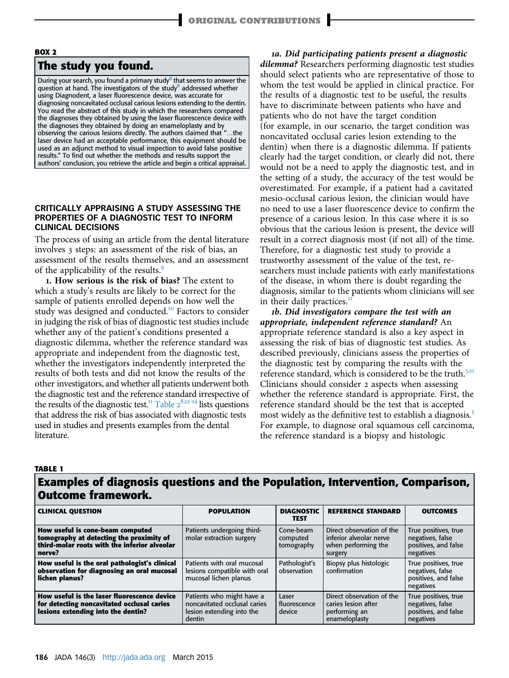## <span id="page-2-0"></span>BOX 2 The study you found.

During your search, you found a primary study<sup>[8](#page-7-0)</sup> that seems to answer the<br>question at hand. The investigators of the study<sup>8</sup> addressed whether using Diagnodent, a laser fluorescence device, was accurate for diagnosing noncavitated occlusal carious lesions extending to the dentin. You read the abstract of this study in which the researchers compared the diagnoses they obtained by using the laser fluorescence device with the diagnoses they obtained by doing an enameloplasty and by observing the carious lesions directly. The authors claimed that "...the laser device had an acceptable performance, this equipment should be used as an adjunct method to visual inspection to avoid false positive results." To find out whether the methods and results support the authors' conclusion, you retrieve the article and begin a critical appraisal.

### CRITICALLY APPRAISING A STUDY ASSESSING THE PROPERTIES OF A DIAGNOSTIC TEST TO INFORM CLINICAL DECISIONS

The process of using an article from the dental literature involves 3 steps: an assessment of the risk of bias, an assessment of the results themselves, and an assessment of the applicability of the results.<sup>[9](#page-7-0)</sup>

1. How serious is the risk of bias? The extent to which a study's results are likely to be correct for the sample of patients enrolled depends on how well the study was designed and conducted.[10](#page-7-0) Factors to consider in judging the risk of bias of diagnostic test studies include whether any of the patient's conditions presented a diagnostic dilemma, whether the reference standard was appropriate and independent from the diagnostic test, whether the investigators independently interpreted the results of both tests and did not know the results of the other investigators, and whether all patients underwent both the diagnostic test and the reference sta[ndard](#page-7-0) irrespective of the results of the diagnostic test.<sup>[11](#page-7-0)</sup> [Table](#page-4-0)  $2^{8,12-14}$  lists questions that address the risk of bias associated with diagnostic tests used in studies and presents examples from the dental literature.

1a. Did participating patients present a diagnostic dilemma? Researchers performing diagnostic test studies should select patients who are representative of those to whom the test would be applied in clinical practice. For the results of a diagnostic test to be useful, the results have to discriminate between patients who have and patients who do not have the target condition (for example, in our scenario, the target condition was noncavitated occlusal caries lesion extending to the dentin) when there is a diagnostic dilemma. If patients clearly had the target condition, or clearly did not, there would not be a need to apply the diagnostic test, and in the setting of a study, the accuracy of the test would be overestimated. For example, if a patient had a cavitated mesio-occlusal carious lesion, the clinician would have no need to use a laser fluorescence device to confirm the presence of a carious lesion. In this case where it is so obvious that the carious lesion is present, the device will result in a correct diagnosis most (if not all) of the time. Therefore, for a diagnostic test study to provide a trustworthy assessment of the value of the test, researchers must include patients with early manifestations of the disease, in whom there is doubt regarding the diagnosis, similar to the patients whom clinicians will see in their daily practices. $<sup>11</sup>$  $<sup>11</sup>$  $<sup>11</sup>$ </sup>

1b. Did investigators compare the test with an appropriate, independent reference standard? An appropriate reference standard is also a key aspect in assessing the risk of bias of diagnostic test studies. As described previously, clinicians assess the properties of the diagnostic test by comparing the results with the reference standard, which is considered to be the truth.<sup>5,[11](#page-7-0)</sup> Clinicians should consider 2 aspects when assessing whether the reference standard is appropriate. First, the reference standard should be the test that is accepted most widely as the definitive test to establish a diagnosis.<sup>[5](#page-7-0)</sup> For example, to diagnose oral squamous cell carcinoma, the reference standard is a biopsy and histologic

### TABLE 1

## Examples of diagnosis questions and the Population, Intervention, Comparison, Outcome framework.

| <b>CLINICAL QUESTION</b>                                                                                                               | <b>POPULATION</b>                                                                                | <b>DIAGNOSTIC</b><br><b>TEST</b>    | <b>REFERENCE STANDARD</b>                                                              | <b>OUTCOMES</b>                                                               |
|----------------------------------------------------------------------------------------------------------------------------------------|--------------------------------------------------------------------------------------------------|-------------------------------------|----------------------------------------------------------------------------------------|-------------------------------------------------------------------------------|
| How useful is cone-beam computed<br>tomography at detecting the proximity of<br>third-molar roots with the inferior alveolar<br>nerve? | Patients undergoing third-<br>molar extraction surgery                                           | Cone-beam<br>computed<br>tomography | Direct observation of the<br>inferior alveolar nerve<br>when performing the<br>surgery | True positives, true<br>negatives, false<br>positives, and false<br>negatives |
| How useful is the oral pathologist's clinical<br>observation for diagnosing an oral mucosal<br>lichen planus?                          | Patients with oral mucosal<br>lesions compatible with oral<br>mucosal lichen planus              | Pathologist's<br>observation        | Biopsy plus histologic<br>confirmation                                                 | True positives, true<br>negatives, false<br>positives, and false<br>negatives |
| How useful is the laser fluorescence device<br>for detecting noncavitated occlusal caries<br>lesions extending into the dentin?        | Patients who might have a<br>noncavitated occlusal caries<br>lesion extending into the<br>dentin | Laser<br>fluorescence<br>device     | Direct observation of the<br>caries lesion after<br>performing an<br>enameloplasty     | True positives, true<br>negatives, false<br>positives, and false<br>negatives |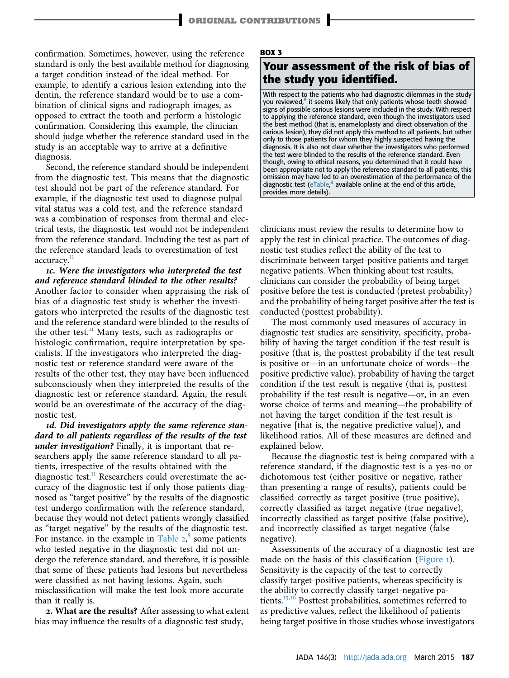confirmation. Sometimes, however, using the reference standard is only the best available method for diagnosing a target condition instead of the ideal method. For example, to identify a carious lesion extending into the dentin, the reference standard would be to use a combination of clinical signs and radiograph images, as opposed to extract the tooth and perform a histologic confirmation. Considering this example, the clinician should judge whether the reference standard used in the study is an acceptable way to arrive at a definitive diagnosis.

Second, the reference standard should be independent from the diagnostic test. This means that the diagnostic test should not be part of the reference standard. For example, if the diagnostic test used to diagnose pulpal vital status was a cold test, and the reference standard was a combination of responses from thermal and electrical tests, the diagnostic test would not be independent from the reference standard. Including the test as part of the reference standard leads to overestimation of test accuracy.<sup>[11](#page-7-0)</sup>

1c. Were the investigators who interpreted the test and reference standard blinded to the other results? Another factor to consider when appraising the risk of bias of a diagnostic test study is whether the investigators who interpreted the results of the diagnostic test and the reference standard were blinded to the results of the other test.<sup>[11](#page-7-0)</sup> Many tests, such as radiographs or histologic confirmation, require interpretation by specialists. If the investigators who interpreted the diagnostic test or reference standard were aware of the results of the other test, they may have been influenced subconsciously when they interpreted the results of the diagnostic test or reference standard. Again, the result would be an overestimate of the accuracy of the diagnostic test.

1d. Did investigators apply the same reference standard to all patients regardless of the results of the test under investigation? Finally, it is important that researchers apply the same reference standard to all patients, irrespective of the results obtained with the diagnostic test.<sup>[11](#page-7-0)</sup> Researchers could overestimate the accuracy of the diagnostic test if only those patients diagnosed as "target positive" by the results of the diagnostic test undergo confirmation with the reference standard, because they would not detect patients wrongly classified as "target negative" by the results of the diagnostic test. For instance, in the example in [Table](#page-4-0)  $2$ , some patients who tested negative in the diagnostic test did not undergo the reference standard, and therefore, it is possible that some of these patients had lesions but nevertheless were classified as not having lesions. Again, such misclassification will make the test look more accurate than it really is.

2. What are the results? After assessing to what extent bias may influence the results of a diagnostic test study,

#### BOX 3

# Your assessment of the risk of bias of the study you identified.

With respect to the patients who had diagnostic dilemmas in the study you reviewed,<sup>8</sup> it seems likely that only patients whose teeth showed<br>signs of possible carious lesions were included in the study. With respect to applying the reference standard, even though the investigators used the best method (that is, enameloplasty and direct observation of the carious lesion), they did not apply this method to all patients, but rather only to those patients for whom they highly suspected having the diagnosis. It is also not clear whether the investigators who performed the test were blinded to the results of the reference standard. Even though, owing to ethical reasons, you determined that it could have been appropriate not to apply the reference standard to all patients, this omission may have led to an overestimation of the performance of the diagnostic test (eTable,<sup>[8](#page-7-0)</sup> available online at the end of this article, provides more details).

clinicians must review the results to determine how to apply the test in clinical practice. The outcomes of diagnostic test studies reflect the ability of the test to discriminate between target-positive patients and target negative patients. When thinking about test results, clinicians can consider the probability of being target positive before the test is conducted (pretest probability) and the probability of being target positive after the test is conducted (posttest probability).

The most commonly used measures of accuracy in diagnostic test studies are sensitivity, specificity, probability of having the target condition if the test result is positive (that is, the posttest probability if the test result is positive or—in an unfortunate choice of words—the positive predictive value), probability of having the target condition if the test result is negative (that is, posttest probability if the test result is negative—or, in an even worse choice of terms and meaning—the probability of not having the target condition if the test result is negative [that is, the negative predictive value]), and likelihood ratios. All of these measures are defined and explained below.

Because the diagnostic test is being compared with a reference standard, if the diagnostic test is a yes-no or dichotomous test (either positive or negative, rather than presenting a range of results), patients could be classified correctly as target positive (true positive), correctly classified as target negative (true negative), incorrectly classified as target positive (false positive), and incorrectly classified as target negative (false negative).

Assessments of the accuracy of a diagnostic test are made on the basis of this classification ([Figure](#page-5-0) 1). Sensitivity is the capacity of the test to correctly classify target-positive patients, whereas specificity is the ab[ility](#page-7-0) to correctly classify target-negative patients.15,<sup>16</sup> Posttest probabilities, sometimes referred to as predictive values, reflect the likelihood of patients being target positive in those studies whose investigators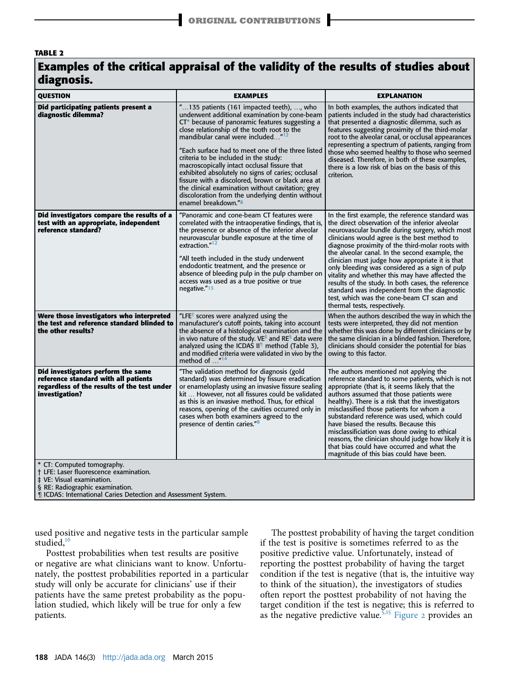### <span id="page-4-0"></span>TABLE 2

# Examples of the critical appraisal of the validity of the results of studies about diagnosis.

| <b>QUESTION</b>                                                                                                                             | <b>EXAMPLES</b>                                                                                                                                                                                                                                                                                                                                                                                                                                                                                                                                                                                                                                     | <b>EXPLANATION</b>                                                                                                                                                                                                                                                                                                                                                                                                                                                                                                                                                                                                                                      |
|---------------------------------------------------------------------------------------------------------------------------------------------|-----------------------------------------------------------------------------------------------------------------------------------------------------------------------------------------------------------------------------------------------------------------------------------------------------------------------------------------------------------------------------------------------------------------------------------------------------------------------------------------------------------------------------------------------------------------------------------------------------------------------------------------------------|---------------------------------------------------------------------------------------------------------------------------------------------------------------------------------------------------------------------------------------------------------------------------------------------------------------------------------------------------------------------------------------------------------------------------------------------------------------------------------------------------------------------------------------------------------------------------------------------------------------------------------------------------------|
| Did participating patients present a<br>diagnostic dilemma?                                                                                 | "135 patients (161 impacted teeth), , who<br>underwent additional examination by cone-beam<br>$CT^*$ because of panoramic features suggesting a<br>close relationship of the tooth root to the<br>mandibular canal were included" <sup>12</sup><br>"Each surface had to meet one of the three listed<br>criteria to be included in the study:<br>macroscopically intact occlusal fissure that<br>exhibited absolutely no signs of caries; occlusal<br>fissure with a discolored, brown or black area at<br>the clinical examination without cavitation; grey<br>discoloration from the underlying dentin without<br>enamel breakdown." <sup>8</sup> | In both examples, the authors indicated that<br>patients included in the study had characteristics<br>that presented a diagnostic dilemma, such as<br>features suggesting proximity of the third-molar<br>root to the alveolar canal, or occlusal appearances<br>representing a spectrum of patients, ranging from<br>those who seemed healthy to those who seemed<br>diseased. Therefore, in both of these examples,<br>there is a low risk of bias on the basis of this<br>criterion.                                                                                                                                                                 |
| Did investigators compare the results of a<br>test with an appropriate, independent<br>reference standard?                                  | "Panoramic and cone-beam CT features were<br>correlated with the intraoperative findings, that is,<br>the presence or absence of the inferior alveolar<br>neurovascular bundle exposure at the time of<br>extraction. $n^{12}$<br>"All teeth included in the study underwent<br>endodontic treatment, and the presence or<br>absence of bleeding pulp in the pulp chamber on<br>access was used as a true positive or true<br>negative."13                                                                                                                                                                                                          | In the first example, the reference standard was<br>the direct observation of the inferior alveolar<br>neurovascular bundle during surgery, which most<br>clinicians would agree is the best method to<br>diagnose proximity of the third-molar roots with<br>the alveolar canal. In the second example, the<br>clinician must judge how appropriate it is that<br>only bleeding was considered as a sign of pulp<br>vitality and whether this may have affected the<br>results of the study. In both cases, the reference<br>standard was independent from the diagnostic<br>test, which was the cone-beam CT scan and<br>thermal tests, respectively. |
| Were those investigators who interpreted<br>the test and reference standard blinded to<br>the other results?                                | "LFE <sup>†</sup> scores were analyzed using the<br>manufacturer's cutoff points, taking into account<br>the absence of a histological examination and the<br>in vivo nature of the study. $VE^{\ddagger}$ and RE <sup>§</sup> data were<br>analyzed using the ICDAS II <sup>II</sup> method (Table 3),<br>and modified criteria were validated in vivo by the<br>method of $$ <sup><math>n14</math></sup>                                                                                                                                                                                                                                          | When the authors described the way in which the<br>tests were interpreted, they did not mention<br>whether this was done by different clinicians or by<br>the same clinician in a blinded fashion. Therefore,<br>clinicians should consider the potential for bias<br>owing to this factor.                                                                                                                                                                                                                                                                                                                                                             |
| Did investigators perform the same<br>reference standard with all patients<br>regardless of the results of the test under<br>investigation? | "The validation method for diagnosis (gold<br>standard) was determined by fissure eradication<br>or enameloplasty using an invasive fissure sealing<br>kit  However, not all fissures could be validated<br>as this is an invasive method. Thus, for ethical<br>reasons, opening of the cavities occurred only in<br>cases when both examiners agreed to the<br>presence of dentin caries." <sup>8</sup>                                                                                                                                                                                                                                            | The authors mentioned not applying the<br>reference standard to some patients, which is not<br>appropriate (that is, it seems likely that the<br>authors assumed that those patients were<br>healthy). There is a risk that the investigators<br>misclassified those patients for whom a<br>substandard reference was used, which could<br>have biased the results. Because this<br>misclassificiation was done owing to ethical<br>reasons, the clinician should judge how likely it is<br>that bias could have occurred and what the<br>magnitude of this bias could have been.                                                                       |
| * CT: Computed tomography.<br>† LFE: Laser fluorescence examination.<br>‡ VE: Visual examination.<br>§ RE: Radiographic examination.        |                                                                                                                                                                                                                                                                                                                                                                                                                                                                                                                                                                                                                                                     |                                                                                                                                                                                                                                                                                                                                                                                                                                                                                                                                                                                                                                                         |

| || ICDAS: International Caries Detection and Assessment System

used positive and negative tests in the particular sample studied, $16$ 

Posttest probabilities when test results are positive or negative are what clinicians want to know. Unfortunately, the posttest probabilities reported in a particular study will only be accurate for clinicians' use if their patients have the same pretest probability as the population studied, which likely will be true for only a few patients.

The posttest probability of having the target condition if the test is positive is sometimes referred to as the positive predictive value. Unfortunately, instead of reporting the posttest probability of having the target condition if the test is negative (that is, the intuitive way to think of the situation), the investigators of studies often report the posttest probability of not having the target condition if the test is negative; this is referred to as the negative predictive value.<sup>5,[15](#page-7-0)</sup> [Figure](#page-5-0) 2 provides an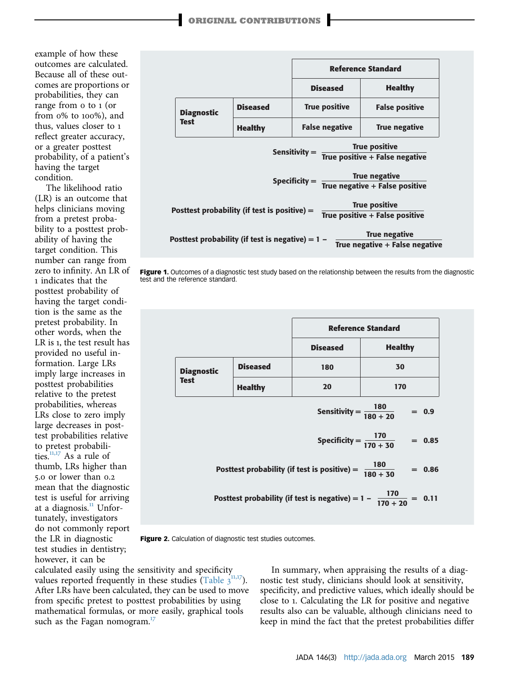<span id="page-5-0"></span>example of how these outcomes are calculated. Because all of these outcomes are proportions or probabilities, they can range from 0 to 1 (or from 0% to 100%), and thus, values closer to 1 reflect greater accuracy, or a greater posttest probability, of a patient's having the target condition.

The likelihood ratio (LR) is an outcome that helps clinicians moving from a pretest probability to a posttest probability of having the target condition. This number can range from zero to infinity. An LR of 1 indicates that the posttest probability of having the target condition is the same as the pretest probability. In other words, when the LR is 1, the test result has provided no useful information. Large LRs imply large increases in posttest probabilities relative to the pretest probabilities, whereas LRs close to zero imply large decreases in posttest probabilities relative to [pret](#page-7-0)est probabilities. $11,17$  As a rule of thumb, LRs higher than 5.0 or lower than 0.2 mean that the diagnostic test is useful for arriving at a diagnosis. $\frac{11}{11}$  $\frac{11}{11}$  $\frac{11}{11}$  Unfortunately, investigators do not commonly report the LR in diagnostic test studies in dentistry; however, it can be

|                                                                                                          |                                                    | <b>Reference Standard</b> |                                                        |
|----------------------------------------------------------------------------------------------------------|----------------------------------------------------|---------------------------|--------------------------------------------------------|
|                                                                                                          |                                                    | <b>Diseased</b>           | <b>Healthy</b>                                         |
| <b>Diagnostic</b>                                                                                        | <b>Diseased</b>                                    | True positive             | <b>False positive</b>                                  |
| Test                                                                                                     | <b>False negative</b><br>Healthy                   | True negative             |                                                        |
| <b>True positive</b><br>Sensitivity $=$<br>True positive + False negative                                |                                                    |                           |                                                        |
| <b>True negative</b><br>$Specificity =$<br>True negative + False positive                                |                                                    |                           |                                                        |
| <b>True positive</b><br>Posttest probability (if test is positive) $=$<br>True positive + False positive |                                                    |                           |                                                        |
|                                                                                                          | Posttest probability (if test is negative) = $1 -$ |                           | <b>True negative</b><br>True negative + False negative |

Figure 1. Outcomes of a diagnostic test study based on the relationship between the results from the diagnostic test and the reference standard.

|                                                     |                 | <b>Reference Standard</b>                                                      |                |          |
|-----------------------------------------------------|-----------------|--------------------------------------------------------------------------------|----------------|----------|
|                                                     |                 | <b>Diseased</b>                                                                | <b>Healthy</b> |          |
| <b>Diagnostic</b>                                   | <b>Diseased</b> | 180                                                                            | 30             |          |
| Test                                                | <b>Healthy</b>  | 20                                                                             | 170            |          |
| Sensitivity = $\frac{180}{180 + 20}$<br>$= 0.9$     |                 |                                                                                |                |          |
| Specificity = $\frac{170}{170 \div 30}$<br>$= 0.85$ |                 |                                                                                |                |          |
|                                                     |                 | Posttest probability (if test is positive) = $\frac{180}{180 + 30}$            |                | $= 0.86$ |
|                                                     |                 | Posttest probability (if test is negative) = $1 - \frac{170}{170 + 20} = 0.11$ |                |          |

Figure 2. Calculation of diagnostic test studies outcomes.

calculated easily using the sensitivity and specificity values reported frequently in these studies [\(Table](#page-6-0)  $3^{11,17}$  $3^{11,17}$  $3^{11,17}$ ). After LRs have been calculated, they can be used to move from specific pretest to posttest probabilities by using mathematical formulas, or more easily, graphical tools such as the Fagan nomogram. $\frac{17}{2}$  $\frac{17}{2}$  $\frac{17}{2}$ 

In summary, when appraising the results of a diagnostic test study, clinicians should look at sensitivity, specificity, and predictive values, which ideally should be close to 1. Calculating the LR for positive and negative results also can be valuable, although clinicians need to keep in mind the fact that the pretest probabilities differ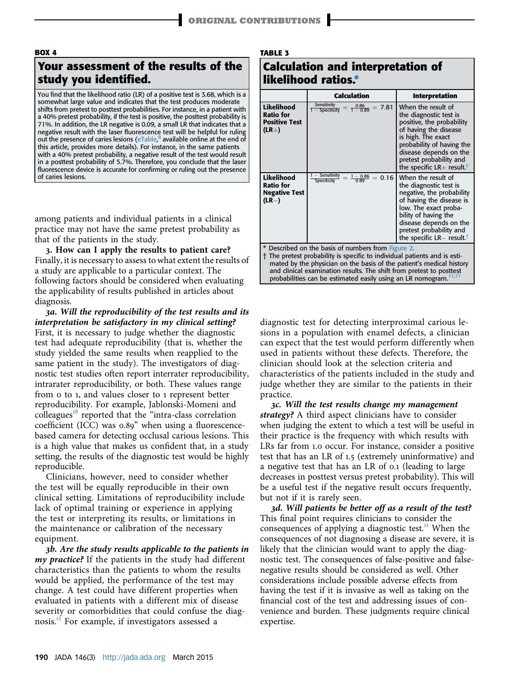### <span id="page-6-0"></span>BOX 4

# Your assessment of the results of the study you identified.

You find that the likelihood ratio (LR) of a positive test is 3.68, which is a somewhat large value and indicates that the test produces moderate shifts from pretest to posttest probabilities. For instance, in a patient with a 40% pretest probability, if the test is positive, the posttest probability is 71%. In addition, the LR negative is 0.09, a small LR that indicates that a negative result with the laser fluorescence test will be helpful for ruling out the presence of caries lesions (eTable, available online at the end of this article, provides more details). For instance, in the same patients with a 40% pretest probability, a negative result of the test would result in a posttest probability of 5.7%. Therefore, you conclude that the laser fluorescence device is accurate for confirming or ruling out the presence of caries lesions.

among patients and individual patients in a clinical practice may not have the same pretest probability as that of the patients in the study.

3. How can I apply the results to patient care? Finally, it is necessary to assess to what extent the results of a study are applicable to a particular context. The following factors should be considered when evaluating the applicability of results published in articles about diagnosis.

3a. Will the reproducibility of the test results and its interpretation be satisfactory in my clinical setting? First, it is necessary to judge whether the diagnostic test had adequate reproducibility (that is, whether the study yielded the same results when reapplied to the same patient in the study). The investigators of diagnostic test studies often report interrater reproducibility, intrarater reproducibility, or both. These values range from 0 to 1, and values closer to 1 represent better reproducibility. For example, Jablonski-Momeni and colleagues<sup>[18](#page-7-0)</sup> reported that the "intra-class correlation" coefficient (ICC) was 0.89" when using a fluorescencebased camera for detecting occlusal carious lesions. This is a high value that makes us confident that, in a study setting, the results of the diagnostic test would be highly reproducible.

Clinicians, however, need to consider whether the test will be equally reproducible in their own clinical setting. Limitations of reproducibility include lack of optimal training or experience in applying the test or interpreting its results, or limitations in the maintenance or calibration of the necessary equipment.

3b. Are the study results applicable to the patients in my practice? If the patients in the study had different characteristics than the patients to whom the results would be applied, the performance of the test may change. A test could have different properties when evaluated in patients with a different mix of disease severity or comorbidities that could confuse the diagnosis.[11](#page-7-0) For example, if investigators assessed a

### TABLE 3

# Calculation and interpretation of likelihood ratios.\*

|                                                                   | <b>Calculation</b>                                                                                                                                                                                                                                                                                                                             | <b>Interpretation</b>                                                                                                                                                                                                                                |  |
|-------------------------------------------------------------------|------------------------------------------------------------------------------------------------------------------------------------------------------------------------------------------------------------------------------------------------------------------------------------------------------------------------------------------------|------------------------------------------------------------------------------------------------------------------------------------------------------------------------------------------------------------------------------------------------------|--|
| Likelihood<br><b>Ratio for</b><br><b>Positive Test</b><br>$(LR+)$ | $\frac{\text{Sensitivity}}{1 - \text{Specificity}} = \frac{0.86}{1 - 0.89} = 7.81$                                                                                                                                                                                                                                                             | When the result of<br>the diagnostic test is<br>positive, the probability<br>of having the disease<br>is high. The exact<br>probability of having the<br>disease depends on the<br>pretest probability and<br>the specific LR+ result. <sup>†</sup>  |  |
| Likelihood<br><b>Ratio for</b><br><b>Negative Test</b><br>$(LR-)$ | $1 -$ Sensitivity<br>$=\frac{1-0.86}{0.89}=0.16$<br>Specificity                                                                                                                                                                                                                                                                                | When the result of<br>the diagnostic test is<br>negative, the probability<br>of having the disease is<br>low. The exact proba-<br>bility of having the<br>disease depends on the<br>pretest probability and<br>the specific LR- result. <sup>†</sup> |  |
|                                                                   | * Described on the basis of numbers from Figure 2.<br>† The pretest probability is specific to individual patients and is esti-<br>mated by the physician on the basis of the patient's medical history<br>and clinical examination results. The shift from pretest to posttest<br>probabilities can be estimated easily using an LR nomogram. |                                                                                                                                                                                                                                                      |  |

diagnostic test for detecting interproximal carious lesions in a population with enamel defects, a clinician can expect that the test would perform differently when used in patients without these defects. Therefore, the clinician should look at the selection criteria and characteristics of the patients included in the study and judge whether they are similar to the patients in their practice.

3c. Will the test results change my management strategy? A third aspect clinicians have to consider when judging the extent to which a test will be useful in their practice is the frequency with which results with LRs far from 1.0 occur. For instance, consider a positive test that has an LR of 1.5 (extremely uninformative) and a negative test that has an LR of 0.1 (leading to large decreases in posttest versus pretest probability). This will be a useful test if the negative result occurs frequently, but not if it is rarely seen.

3d. Will patients be better off as a result of the test? This final point requires clinicians to consider the consequences of applying a diagnostic test. $11$  When the consequences of not diagnosing a disease are severe, it is likely that the clinician would want to apply the diagnostic test. The consequences of false-positive and falsenegative results should be considered as well. Other considerations include possible adverse effects from having the test if it is invasive as well as taking on the financial cost of the test and addressing issues of convenience and burden. These judgments require clinical expertise.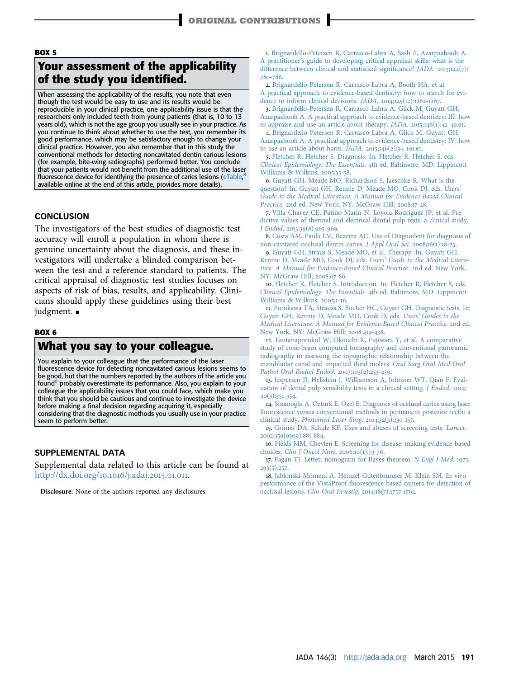#### <span id="page-7-0"></span>BOX 5

# Your assessment of the applicability of the study you identified.

When assessing the applicability of the results, you note that even though the test would be easy to use and its results would be reproducible in your clinical practice, one applicability issue is that the researchers only included teeth from young patients (that is, 10 to 13 years old), which is not the age group you usually see in your practice. As you continue to think about whether to use the test, you remember its good performance, which may be satisfactory enough to change your clinical practice. However, you also remember that in this study the conventional methods for detecting noncavitated dentin carious lesions (for example, bite-wing radiographs) performed better. You conclude that your patients would not benefit from the additional use of the laser fluorescence device for identifying the presence of caries lesions (eTable, <sup>8</sup> available online at the end of this article, provides more details).

### **CONCLUSION**

The investigators of the best studies of diagnostic test accuracy will enroll a population in whom there is genuine uncertainty about the diagnosis, and these investigators will undertake a blinded comparison between the test and a reference standard to patients. The critical appraisal of diagnostic test studies focuses on aspects of risk of bias, results, and applicability. Clinicians should apply these guidelines using their best judgment.  $\blacksquare$ 

### BOX 6

### What you say to your colleague.

You explain to your colleague that the performance of the laser fluorescence device for detecting noncavitated carious lesions seems to be good, but that the numbers reported by the authors of the article you found<sup>8</sup> probably overestimate its performance. Also, you explain to your colleague the applicability issues that you could face, which make you think that you should be cautious and continue to investigate the device before making a final decision regarding acquiring it, especially considering that the diagnostic methods you usually use in your practice seem to perform better.

### SUPPLEMENTAL DATA

Supplemental data related to this article can be found at [http://dx.doi.org/](http://dx.doi.org/10.1016/j.adaj.2015.01.011)10.1016/j.adaj.2015.01.011.

Disclosure. None of the authors reported any disclosures.

1. [Brignardello-Petersen R, Carrasco-Labra A, Sash P, Azarpazhooh A.](http://refhub.elsevier.com/S0002-8177(15)00222-6/sref1) A practitioner'[s guide to developing critical appraisal skills: what is the](http://refhub.elsevier.com/S0002-8177(15)00222-6/sref1) [difference between clinical and statistical signi](http://refhub.elsevier.com/S0002-8177(15)00222-6/sref1)ficance? JADA. 2013;144(7): [780](http://refhub.elsevier.com/S0002-8177(15)00222-6/sref1)-786.

2. [Brignardello-Petersen R, Carrasco-Labra A, Booth HA, et al.](http://refhub.elsevier.com/S0002-8177(15)00222-6/sref2) [A practical approach to evidence-based dentistry: how to search for evi](http://refhub.elsevier.com/S0002-8177(15)00222-6/sref2)[dence to inform clinical decisions.](http://refhub.elsevier.com/S0002-8177(15)00222-6/sref2) JADA. 2014;145(12):1262-1267.

3. [Brignardello-Petersen R, Carrasco-Labra A, Glick M, Guyatt GH,](http://refhub.elsevier.com/S0002-8177(15)00222-6/sref3) [Azarpazhooh A. A practical approach to evidence-based dentistry: III: how](http://refhub.elsevier.com/S0002-8177(15)00222-6/sref3) [to appraise and use an article about therapy.](http://refhub.elsevier.com/S0002-8177(15)00222-6/sref3) JADA. 2015;146(1):42-49.e1.

4. [Brignardello-Petersen R, Carrasco-Labra A, Glick M, Guyatt GH,](http://refhub.elsevier.com/S0002-8177(15)00222-6/sref4) [Azarpazhooh A. A practical approach to evidence-based dentistry: IV: how](http://refhub.elsevier.com/S0002-8177(15)00222-6/sref4) [to use an article about harm.](http://refhub.elsevier.com/S0002-8177(15)00222-6/sref4) JADA. 2015;146(2):94-101.e1.

5. [Fletcher R, Fletcher S. Diagnosis. In: Fletcher R, Fletcher S, eds.](http://refhub.elsevier.com/S0002-8177(15)00222-6/sref5) [Clinical Epidemiology: The Essentials](http://refhub.elsevier.com/S0002-8177(15)00222-6/sref5). 4th ed. Baltimore, MD: Lippincott [Williams & Wilkins;](http://refhub.elsevier.com/S0002-8177(15)00222-6/sref5) 2005:35-58.

6. [Guyatt GH, Meade MO, Richardson S, Jaeschke R. What is the](http://refhub.elsevier.com/S0002-8177(15)00222-6/sref6) [question? In: Guyatt GH, Rennie D, Meade MO, Cook DJ, eds.](http://refhub.elsevier.com/S0002-8177(15)00222-6/sref6) Users' [Guide to the Medical Literature: A Manual for Evidence-Based Clinical](http://refhub.elsevier.com/S0002-8177(15)00222-6/sref6) Practice. 2[nd ed. New York, NY: McGraw-Hill;](http://refhub.elsevier.com/S0002-8177(15)00222-6/sref6) 2008:17-28.

7. [Villa-Chavez CE, Patino-Marin N, Loyola-Rodriguez JP, et al. Pre](http://refhub.elsevier.com/S0002-8177(15)00222-6/sref7)[dictive values of thermal and electrical dental pulp tests: a clinical study.](http://refhub.elsevier.com/S0002-8177(15)00222-6/sref7) [J Endod](http://refhub.elsevier.com/S0002-8177(15)00222-6/sref7). 2013;39(8):965-969.

8. [Costa AM, Paula LM, Bezerra AC. Use of Diagnodent for diagnosis of](http://refhub.elsevier.com/S0002-8177(15)00222-6/sref8) [non-cavitated occlusal dentin caries.](http://refhub.elsevier.com/S0002-8177(15)00222-6/sref8) J Appl Oral Sci. 2008;16(1):18-23.

9. [Guyatt GH, Straus S, Meade MO, et al. Therapy. In: Guyatt GH,](http://refhub.elsevier.com/S0002-8177(15)00222-6/sref9) [Rennie D, Meade MO, Cook DJ, eds.](http://refhub.elsevier.com/S0002-8177(15)00222-6/sref9) Users' Guide to the Medical Litera[ture: A Manual for Evidence-Based Clinical Practice](http://refhub.elsevier.com/S0002-8177(15)00222-6/sref9). 2nd ed. New York, [NY: McGraw-Hill;](http://refhub.elsevier.com/S0002-8177(15)00222-6/sref9) 2008:67-86.

10. [Fletcher R, Fletcher S. Introduction. In: Fletcher R, Fletcher S, eds.](http://refhub.elsevier.com/S0002-8177(15)00222-6/sref10) [Clinical Epidemiology: The Essentials](http://refhub.elsevier.com/S0002-8177(15)00222-6/sref10). 4th ed. Baltimore, MD: Lippincott [Williams & Wilkins;](http://refhub.elsevier.com/S0002-8177(15)00222-6/sref10) 2005:1-16.

11. [Furukawa TA, Strauss S, Bucher HC, Guyatt GH. Diagnostic tests. In:](http://refhub.elsevier.com/S0002-8177(15)00222-6/sref11) [Guyatt GH, Rennie D, Meade MO, Cook D, eds.](http://refhub.elsevier.com/S0002-8177(15)00222-6/sref11) Users' Guides to the [Medical Literature: A Manual for Evidence-Based Clinical Practice](http://refhub.elsevier.com/S0002-8177(15)00222-6/sref11). 2nd ed. [New York, NY: McGraw Hill;](http://refhub.elsevier.com/S0002-8177(15)00222-6/sref11) 2008:419-438.

12. [Tantanapornkul W, Okouchi K, Fujiwara Y, et al. A comparative](http://refhub.elsevier.com/S0002-8177(15)00222-6/sref12) [study of cone-beam computed tomography and conventional panoramic](http://refhub.elsevier.com/S0002-8177(15)00222-6/sref12) [radiography in assessing the topographic relationship between the](http://refhub.elsevier.com/S0002-8177(15)00222-6/sref12) [mandibular canal and impacted third molars.](http://refhub.elsevier.com/S0002-8177(15)00222-6/sref12) Oral Surg Oral Med Oral [Pathol Oral Radiol Endod](http://refhub.elsevier.com/S0002-8177(15)00222-6/sref12). 2007;103(2):253-259.

13. [Jespersen JJ, Hellstein J, Williamson A, Johnson WT, Qian F. Eval](http://refhub.elsevier.com/S0002-8177(15)00222-6/sref13)[uation of dental pulp sensibility tests in a clinical setting.](http://refhub.elsevier.com/S0002-8177(15)00222-6/sref13) J Endod. 2014; 40(3):351-[354](http://refhub.elsevier.com/S0002-8177(15)00222-6/sref13).

14. [Sinanoglu A, Ozturk E, Ozel E. Diagnosis of occlusal caries using laser](http://refhub.elsevier.com/S0002-8177(15)00222-6/sref14) fl[uorescence versus conventional methods in permanent posterior teeth: a](http://refhub.elsevier.com/S0002-8177(15)00222-6/sref14) clinical study. [Photomed Laser Surg](http://refhub.elsevier.com/S0002-8177(15)00222-6/sref14). 2014;32(3):130-137.

15. [Grimes DA, Schulz KF. Uses and abuses of screening tests.](http://refhub.elsevier.com/S0002-8177(15)00222-6/sref15) Lancet. [2002](http://refhub.elsevier.com/S0002-8177(15)00222-6/sref15);359(9309):881-884.

16. [Fields MM, Chevlen E. Screening for disease: making evidence-based](http://refhub.elsevier.com/S0002-8177(15)00222-6/sref16) choices. [Clin J Oncol Nurs](http://refhub.elsevier.com/S0002-8177(15)00222-6/sref16). 2006;10(1):73-76.

17. [Fagan TJ. Letter: nomogram for Bayes theorem.](http://refhub.elsevier.com/S0002-8177(15)00222-6/sref17) N Engl J Med. 1975; [293](http://refhub.elsevier.com/S0002-8177(15)00222-6/sref17)(5):257.

18. [Jablonski-Momeni A, Heinzel-Gutenbrunner M, Klein SM. In vivo](http://refhub.elsevier.com/S0002-8177(15)00222-6/sref18) performance of the VistaProof fl[uorescence-based camera for detection of](http://refhub.elsevier.com/S0002-8177(15)00222-6/sref18) occlusal lesions. [Clin Oral Investig](http://refhub.elsevier.com/S0002-8177(15)00222-6/sref18). 2014;18(7):1757-1762.